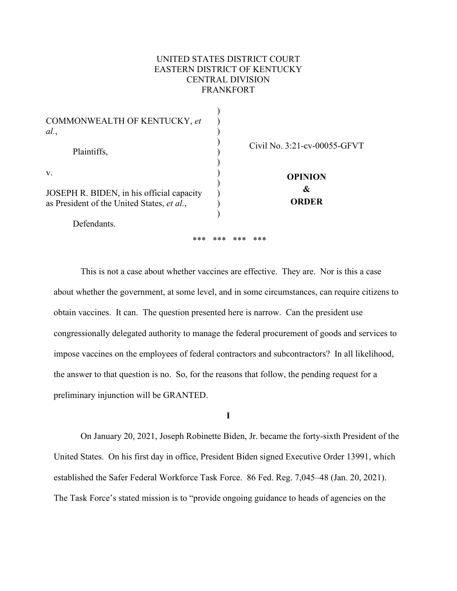# UNITED STATES DISTRICT COURT EASTERN DISTRICT OF KENTUCKY CENTRAL DIVISION FRANKFORT

| COMMONWEALTH OF KENTUCKY, et<br>al.                                                                          |                                     |
|--------------------------------------------------------------------------------------------------------------|-------------------------------------|
| Plaintiffs,                                                                                                  | Civil No. 3:21-cv-00055-GFVT        |
| V.<br>JOSEPH R. BIDEN, in his official capacity<br>as President of the United States, et al.,<br>Defendants. | <b>OPINION</b><br>&<br><b>ORDER</b> |
| ***                                                                                                          | ***<br>***<br>***                   |

 This is not a case about whether vaccines are effective. They are. Nor is this a case about whether the government, at some level, and in some circumstances, can require citizens to obtain vaccines. It can. The question presented here is narrow. Can the president use congressionally delegated authority to manage the federal procurement of goods and services to impose vaccines on the employees of federal contractors and subcontractors? In all likelihood, the answer to that question is no. So, for the reasons that follow, the pending request for a preliminary injunction will be GRANTED.

**I** 

 On January 20, 2021, Joseph Robinette Biden, Jr. became the forty-sixth President of the United States. On his first day in office, President Biden signed Executive Order 13991, which established the Safer Federal Workforce Task Force. 86 Fed. Reg. 7,045–48 (Jan. 20, 2021). The Task Force's stated mission is to "provide ongoing guidance to heads of agencies on the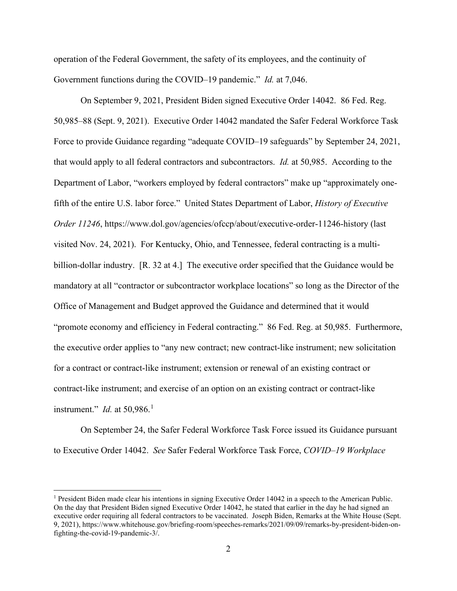operation of the Federal Government, the safety of its employees, and the continuity of Government functions during the COVID–19 pandemic." *Id.* at 7,046.

 On September 9, 2021, President Biden signed Executive Order 14042. 86 Fed. Reg. 50,985–88 (Sept. 9, 2021). Executive Order 14042 mandated the Safer Federal Workforce Task Force to provide Guidance regarding "adequate COVID–19 safeguards" by September 24, 2021, that would apply to all federal contractors and subcontractors. *Id.* at 50,985. According to the Department of Labor, "workers employed by federal contractors" make up "approximately onefifth of the entire U.S. labor force." United States Department of Labor, *History of Executive Order 11246*, https://www.dol.gov/agencies/ofccp/about/executive-order-11246-history (last visited Nov. 24, 2021).For Kentucky, Ohio, and Tennessee, federal contracting is a multibillion-dollar industry. [R. 32 at 4.] The executive order specified that the Guidance would be mandatory at all "contractor or subcontractor workplace locations" so long as the Director of the Office of Management and Budget approved the Guidance and determined that it would "promote economy and efficiency in Federal contracting." 86 Fed. Reg. at 50,985.Furthermore, the executive order applies to "any new contract; new contract-like instrument; new solicitation for a contract or contract-like instrument; extension or renewal of an existing contract or contract-like instrument; and exercise of an option on an existing contract or contract-like instrument." *Id.* at 50,986.<sup>1</sup>

On September 24, the Safer Federal Workforce Task Force issued its Guidance pursuant to Executive Order 14042. *See* Safer Federal Workforce Task Force, *COVID–19 Workplace* 

<sup>&</sup>lt;sup>1</sup> President Biden made clear his intentions in signing Executive Order 14042 in a speech to the American Public. On the day that President Biden signed Executive Order 14042, he stated that earlier in the day he had signed an executive order requiring all federal contractors to be vaccinated. Joseph Biden, Remarks at the White House (Sept. 9, 2021), https://www.whitehouse.gov/briefing-room/speeches-remarks/2021/09/09/remarks-by-president-biden-onfighting-the-covid-19-pandemic-3/.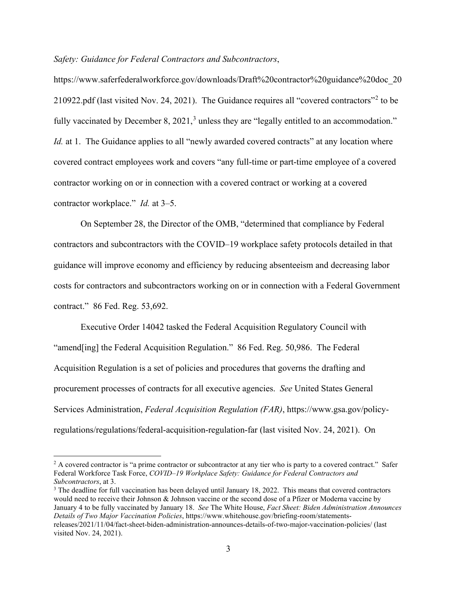*Safety: Guidance for Federal Contractors and Subcontractors*,

https://www.saferfederalworkforce.gov/downloads/Draft%20contractor%20guidance%20doc\_20 210922.pdf (last visited Nov. 24, 2021). The Guidance requires all "covered contractors"<sup>2</sup> to be fully vaccinated by December 8, 2021,<sup>3</sup> unless they are "legally entitled to an accommodation." *Id.* at 1. The Guidance applies to all "newly awarded covered contracts" at any location where covered contract employees work and covers "any full-time or part-time employee of a covered contractor working on or in connection with a covered contract or working at a covered contractor workplace." *Id.* at 3–5.

 On September 28, the Director of the OMB, "determined that compliance by Federal contractors and subcontractors with the COVID–19 workplace safety protocols detailed in that guidance will improve economy and efficiency by reducing absenteeism and decreasing labor costs for contractors and subcontractors working on or in connection with a Federal Government contract." 86 Fed. Reg. 53,692.

 Executive Order 14042 tasked the Federal Acquisition Regulatory Council with "amend[ing] the Federal Acquisition Regulation." 86 Fed. Reg. 50,986. The Federal Acquisition Regulation is a set of policies and procedures that governs the drafting and procurement processes of contracts for all executive agencies. *See* United States General Services Administration, *Federal Acquisition Regulation (FAR)*, https://www.gsa.gov/policyregulations/regulations/federal-acquisition-regulation-far (last visited Nov. 24, 2021). On

 $2 A$  covered contractor is "a prime contractor or subcontractor at any tier who is party to a covered contract." Safer Federal Workforce Task Force, *COVID–19 Workplace Safety: Guidance for Federal Contractors and Subcontractors*, at 3.<br><sup>3</sup> The deadline for full vaccination has been delayed until January 18, 2022. This means that covered contractors

would need to receive their Johnson & Johnson vaccine or the second dose of a Pfizer or Moderna vaccine by January 4 to be fully vaccinated by January 18. *See* The White House, *Fact Sheet: Biden Administration Announces Details of Two Major Vaccination Policies*, https://www.whitehouse.gov/briefing-room/statementsreleases/2021/11/04/fact-sheet-biden-administration-announces-details-of-two-major-vaccination-policies/ (last visited Nov. 24, 2021).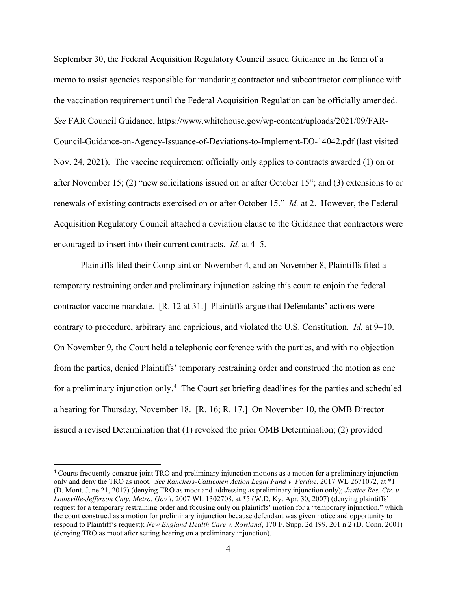September 30, the Federal Acquisition Regulatory Council issued Guidance in the form of a memo to assist agencies responsible for mandating contractor and subcontractor compliance with the vaccination requirement until the Federal Acquisition Regulation can be officially amended. *See* FAR Council Guidance, https://www.whitehouse.gov/wp-content/uploads/2021/09/FAR-Council-Guidance-on-Agency-Issuance-of-Deviations-to-Implement-EO-14042.pdf (last visited Nov. 24, 2021). The vaccine requirement officially only applies to contracts awarded (1) on or after November 15; (2) "new solicitations issued on or after October 15"; and (3) extensions to or renewals of existing contracts exercised on or after October 15." *Id.* at 2. However, the Federal Acquisition Regulatory Council attached a deviation clause to the Guidance that contractors were encouraged to insert into their current contracts. *Id.* at 4–5.

 Plaintiffs filed their Complaint on November 4, and on November 8, Plaintiffs filed a temporary restraining order and preliminary injunction asking this court to enjoin the federal contractor vaccine mandate. [R. 12 at 31.] Plaintiffs argue that Defendants' actions were contrary to procedure, arbitrary and capricious, and violated the U.S. Constitution. *Id.* at 9–10. On November 9, the Court held a telephonic conference with the parties, and with no objection from the parties, denied Plaintiffs' temporary restraining order and construed the motion as one for a preliminary injunction only.<sup>4</sup> The Court set briefing deadlines for the parties and scheduled a hearing for Thursday, November 18. [R. 16; R. 17.] On November 10, the OMB Director issued a revised Determination that (1) revoked the prior OMB Determination; (2) provided

<sup>4</sup> Courts frequently construe joint TRO and preliminary injunction motions as a motion for a preliminary injunction only and deny the TRO as moot. *See Ranchers-Cattlemen Action Legal Fund v. Perdue*, 2017 WL 2671072, at \*1 (D. Mont. June 21, 2017) (denying TRO as moot and addressing as preliminary injunction only); *Justice Res. Ctr. v. Louisville-Jefferson Cnty. Metro. Gov't*, 2007 WL 1302708, at \*5 (W.D. Ky. Apr. 30, 2007) (denying plaintiffs' request for a temporary restraining order and focusing only on plaintiffs' motion for a "temporary injunction," which the court construed as a motion for preliminary injunction because defendant was given notice and opportunity to respond to Plaintiff's request); *New England Health Care v. Rowland*, 170 F. Supp. 2d 199, 201 n.2 (D. Conn. 2001) (denying TRO as moot after setting hearing on a preliminary injunction).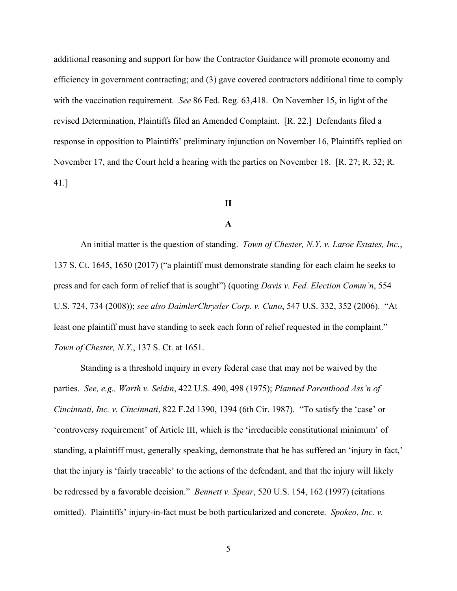additional reasoning and support for how the Contractor Guidance will promote economy and efficiency in government contracting; and (3) gave covered contractors additional time to comply with the vaccination requirement. *See* 86 Fed. Reg. 63,418. On November 15, in light of the revised Determination, Plaintiffs filed an Amended Complaint. [R. 22.] Defendants filed a response in opposition to Plaintiffs' preliminary injunction on November 16, Plaintiffs replied on November 17, and the Court held a hearing with the parties on November 18. [R. 27; R. 32; R. 41.]

## **II**

## **A**

An initial matter is the question of standing. *Town of Chester, N.Y. v. Laroe Estates, Inc.*, 137 S. Ct. 1645, 1650 (2017) ("a plaintiff must demonstrate standing for each claim he seeks to press and for each form of relief that is sought") (quoting *Davis v. Fed. Election Comm'n*, 554 U.S. 724, 734 (2008)); *see also DaimlerChrysler Corp. v. Cuno*, 547 U.S. 332, 352 (2006). "At least one plaintiff must have standing to seek each form of relief requested in the complaint." *Town of Chester, N.Y.*, 137 S. Ct. at 1651.

 Standing is a threshold inquiry in every federal case that may not be waived by the parties. *See, e.g., Warth v. Seldin*, 422 U.S. 490, 498 (1975); *Planned Parenthood Ass'n of Cincinnati, Inc. v. Cincinnati*, 822 F.2d 1390, 1394 (6th Cir. 1987). "To satisfy the 'case' or 'controversy requirement' of Article III, which is the 'irreducible constitutional minimum' of standing, a plaintiff must, generally speaking, demonstrate that he has suffered an 'injury in fact,' that the injury is 'fairly traceable' to the actions of the defendant, and that the injury will likely be redressed by a favorable decision." *Bennett v. Spear*, 520 U.S. 154, 162 (1997) (citations omitted). Plaintiffs' injury-in-fact must be both particularized and concrete. *Spokeo, Inc. v.*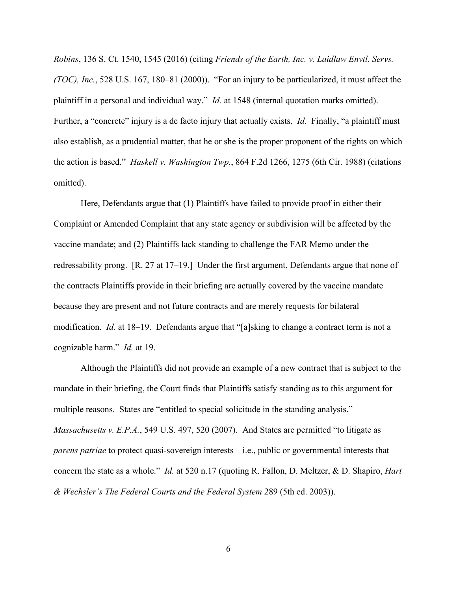*Robins*, 136 S. Ct. 1540, 1545 (2016) (citing *Friends of the Earth, Inc. v. Laidlaw Envtl. Servs. (TOC), Inc.*, 528 U.S. 167, 180–81 (2000)). "For an injury to be particularized, it must affect the plaintiff in a personal and individual way." *Id.* at 1548 (internal quotation marks omitted). Further, a "concrete" injury is a de facto injury that actually exists. *Id.* Finally, "a plaintiff must also establish, as a prudential matter, that he or she is the proper proponent of the rights on which the action is based." *Haskell v. Washington Twp.*, 864 F.2d 1266, 1275 (6th Cir. 1988) (citations omitted).

Here, Defendants argue that (1) Plaintiffs have failed to provide proof in either their Complaint or Amended Complaint that any state agency or subdivision will be affected by the vaccine mandate; and (2) Plaintiffs lack standing to challenge the FAR Memo under the redressability prong. [R. 27 at 17–19.] Under the first argument, Defendants argue that none of the contracts Plaintiffs provide in their briefing are actually covered by the vaccine mandate because they are present and not future contracts and are merely requests for bilateral modification. *Id.* at 18–19. Defendants argue that "[a]sking to change a contract term is not a cognizable harm." *Id.* at 19.

 Although the Plaintiffs did not provide an example of a new contract that is subject to the mandate in their briefing, the Court finds that Plaintiffs satisfy standing as to this argument for multiple reasons. States are "entitled to special solicitude in the standing analysis." *Massachusetts v. E.P.A.*, 549 U.S. 497, 520 (2007). And States are permitted "to litigate as *parens patriae* to protect quasi-sovereign interests—i.e., public or governmental interests that concern the state as a whole." *Id.* at 520 n.17 (quoting R. Fallon, D. Meltzer, & D. Shapiro, *Hart & Wechsler's The Federal Courts and the Federal System* 289 (5th ed. 2003)).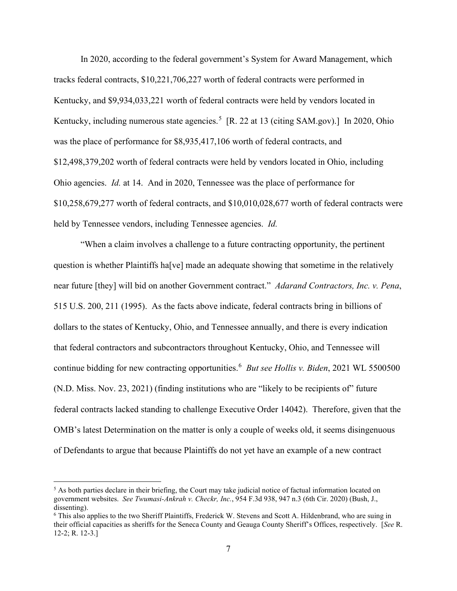In 2020, according to the federal government's System for Award Management, which tracks federal contracts, \$10,221,706,227 worth of federal contracts were performed in Kentucky, and \$9,934,033,221 worth of federal contracts were held by vendors located in Kentucky, including numerous state agencies.<sup>5</sup> [R. 22 at 13 (citing SAM.gov).] In 2020, Ohio was the place of performance for \$8,935,417,106 worth of federal contracts, and \$12,498,379,202 worth of federal contracts were held by vendors located in Ohio, including Ohio agencies. *Id.* at 14. And in 2020, Tennessee was the place of performance for \$10,258,679,277 worth of federal contracts, and \$10,010,028,677 worth of federal contracts were held by Tennessee vendors, including Tennessee agencies. *Id.* 

"When a claim involves a challenge to a future contracting opportunity, the pertinent question is whether Plaintiffs ha[ve] made an adequate showing that sometime in the relatively near future [they] will bid on another Government contract." *Adarand Contractors, Inc. v. Pena*, 515 U.S. 200, 211 (1995). As the facts above indicate, federal contracts bring in billions of dollars to the states of Kentucky, Ohio, and Tennessee annually, and there is every indication that federal contractors and subcontractors throughout Kentucky, Ohio, and Tennessee will continue bidding for new contracting opportunities.<sup>6</sup> *But see Hollis v. Biden*, 2021 WL 5500500 (N.D. Miss. Nov. 23, 2021) (finding institutions who are "likely to be recipients of" future federal contracts lacked standing to challenge Executive Order 14042).Therefore, given that the OMB's latest Determination on the matter is only a couple of weeks old, it seems disingenuous of Defendants to argue that because Plaintiffs do not yet have an example of a new contract

 $<sup>5</sup>$  As both parties declare in their briefing, the Court may take judicial notice of factual information located on</sup> government websites. *See Twumasi-Ankrah v. Checkr, Inc.*, 954 F.3d 938, 947 n.3 (6th Cir. 2020) (Bush, J., dissenting).

<sup>6</sup> This also applies to the two Sheriff Plaintiffs, Frederick W. Stevens and Scott A. Hildenbrand, who are suing in their official capacities as sheriffs for the Seneca County and Geauga County Sheriff's Offices, respectively. [*See* R. 12-2; R. 12-3.]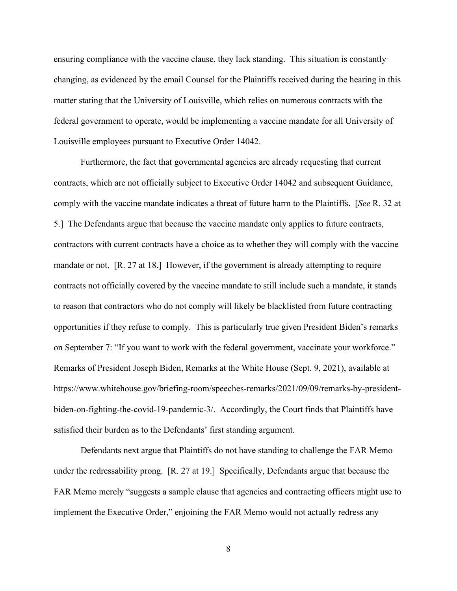ensuring compliance with the vaccine clause, they lack standing. This situation is constantly changing, as evidenced by the email Counsel for the Plaintiffs received during the hearing in this matter stating that the University of Louisville, which relies on numerous contracts with the federal government to operate, would be implementing a vaccine mandate for all University of Louisville employees pursuant to Executive Order 14042.

Furthermore, the fact that governmental agencies are already requesting that current contracts, which are not officially subject to Executive Order 14042 and subsequent Guidance, comply with the vaccine mandate indicates a threat of future harm to the Plaintiffs. [*See* R. 32 at 5.] The Defendants argue that because the vaccine mandate only applies to future contracts, contractors with current contracts have a choice as to whether they will comply with the vaccine mandate or not. [R. 27 at 18.] However, if the government is already attempting to require contracts not officially covered by the vaccine mandate to still include such a mandate, it stands to reason that contractors who do not comply will likely be blacklisted from future contracting opportunities if they refuse to comply. This is particularly true given President Biden's remarks on September 7: "If you want to work with the federal government, vaccinate your workforce." Remarks of President Joseph Biden, Remarks at the White House (Sept. 9, 2021), available at https://www.whitehouse.gov/briefing-room/speeches-remarks/2021/09/09/remarks-by-presidentbiden-on-fighting-the-covid-19-pandemic-3/. Accordingly, the Court finds that Plaintiffs have satisfied their burden as to the Defendants' first standing argument.

Defendants next argue that Plaintiffs do not have standing to challenge the FAR Memo under the redressability prong. [R. 27 at 19.] Specifically, Defendants argue that because the FAR Memo merely "suggests a sample clause that agencies and contracting officers might use to implement the Executive Order," enjoining the FAR Memo would not actually redress any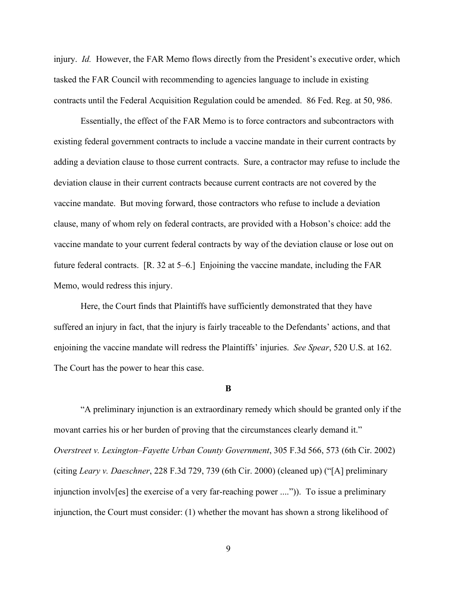injury. *Id.* However, the FAR Memo flows directly from the President's executive order, which tasked the FAR Council with recommending to agencies language to include in existing contracts until the Federal Acquisition Regulation could be amended. 86 Fed. Reg. at 50, 986.

Essentially, the effect of the FAR Memo is to force contractors and subcontractors with existing federal government contracts to include a vaccine mandate in their current contracts by adding a deviation clause to those current contracts. Sure, a contractor may refuse to include the deviation clause in their current contracts because current contracts are not covered by the vaccine mandate. But moving forward, those contractors who refuse to include a deviation clause, many of whom rely on federal contracts, are provided with a Hobson's choice: add the vaccine mandate to your current federal contracts by way of the deviation clause or lose out on future federal contracts. [R. 32 at 5–6.] Enjoining the vaccine mandate, including the FAR Memo, would redress this injury.

Here, the Court finds that Plaintiffs have sufficiently demonstrated that they have suffered an injury in fact, that the injury is fairly traceable to the Defendants' actions, and that enjoining the vaccine mandate will redress the Plaintiffs' injuries. *See Spear*, 520 U.S. at 162. The Court has the power to hear this case.

#### **B**

 "A preliminary injunction is an extraordinary remedy which should be granted only if the movant carries his or her burden of proving that the circumstances clearly demand it." *Overstreet v. Lexington–Fayette Urban County Government*, 305 F.3d 566, 573 (6th Cir. 2002) (citing *Leary v. Daeschner*, 228 F.3d 729, 739 (6th Cir. 2000) (cleaned up) ("[A] preliminary injunction involv[es] the exercise of a very far-reaching power ....")). To issue a preliminary injunction, the Court must consider: (1) whether the movant has shown a strong likelihood of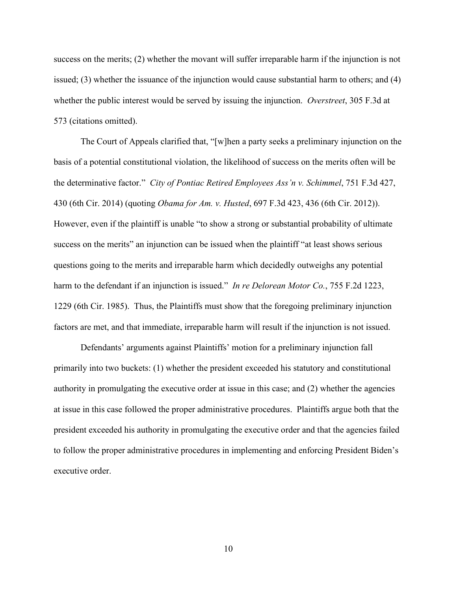success on the merits; (2) whether the movant will suffer irreparable harm if the injunction is not issued; (3) whether the issuance of the injunction would cause substantial harm to others; and (4) whether the public interest would be served by issuing the injunction. *Overstreet*, 305 F.3d at 573 (citations omitted).

 The Court of Appeals clarified that, "[w]hen a party seeks a preliminary injunction on the basis of a potential constitutional violation, the likelihood of success on the merits often will be the determinative factor." *City of Pontiac Retired Employees Ass'n v. Schimmel*, 751 F.3d 427, 430 (6th Cir. 2014) (quoting *Obama for Am. v. Husted*, 697 F.3d 423, 436 (6th Cir. 2012)). However, even if the plaintiff is unable "to show a strong or substantial probability of ultimate success on the merits" an injunction can be issued when the plaintiff "at least shows serious questions going to the merits and irreparable harm which decidedly outweighs any potential harm to the defendant if an injunction is issued." *In re Delorean Motor Co.*, 755 F.2d 1223, 1229 (6th Cir. 1985). Thus, the Plaintiffs must show that the foregoing preliminary injunction factors are met, and that immediate, irreparable harm will result if the injunction is not issued.

 Defendants' arguments against Plaintiffs' motion for a preliminary injunction fall primarily into two buckets: (1) whether the president exceeded his statutory and constitutional authority in promulgating the executive order at issue in this case; and (2) whether the agencies at issue in this case followed the proper administrative procedures. Plaintiffs argue both that the president exceeded his authority in promulgating the executive order and that the agencies failed to follow the proper administrative procedures in implementing and enforcing President Biden's executive order.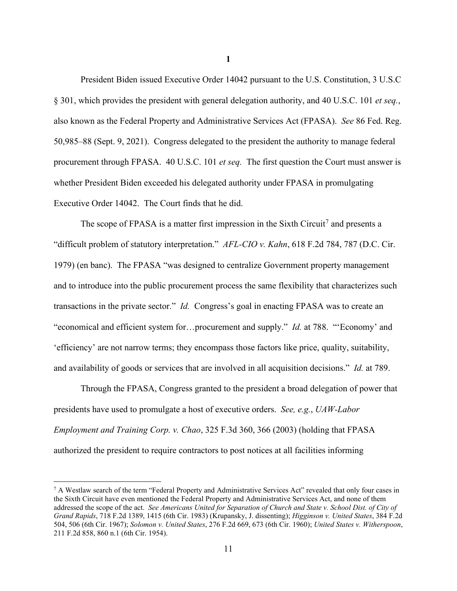President Biden issued Executive Order 14042 pursuant to the U.S. Constitution, 3 U.S.C § 301, which provides the president with general delegation authority, and 40 U.S.C. 101 *et seq.*, also known as the Federal Property and Administrative Services Act (FPASA). *See* 86 Fed. Reg. 50,985–88 (Sept. 9, 2021). Congress delegated to the president the authority to manage federal procurement through FPASA. 40 U.S.C. 101 *et seq.* The first question the Court must answer is whether President Biden exceeded his delegated authority under FPASA in promulgating Executive Order 14042. The Court finds that he did.

The scope of FPASA is a matter first impression in the Sixth Circuit<sup>7</sup> and presents a "difficult problem of statutory interpretation." *AFL-CIO v. Kahn*, 618 F.2d 784, 787 (D.C. Cir. 1979) (en banc). The FPASA "was designed to centralize Government property management and to introduce into the public procurement process the same flexibility that characterizes such transactions in the private sector." *Id.* Congress's goal in enacting FPASA was to create an "economical and efficient system for…procurement and supply." *Id.* at 788. "'Economy' and 'efficiency' are not narrow terms; they encompass those factors like price, quality, suitability, and availability of goods or services that are involved in all acquisition decisions." *Id.* at 789.

 Through the FPASA, Congress granted to the president a broad delegation of power that presidents have used to promulgate a host of executive orders. *See, e.g.*, *UAW-Labor Employment and Training Corp. v. Chao*, 325 F.3d 360, 366 (2003) (holding that FPASA authorized the president to require contractors to post notices at all facilities informing

<sup>&</sup>lt;sup>7</sup> A Westlaw search of the term "Federal Property and Administrative Services Act" revealed that only four cases in the Sixth Circuit have even mentioned the Federal Property and Administrative Services Act, and none of them addressed the scope of the act. *See Americans United for Separation of Church and State v. School Dist. of City of Grand Rapids*, 718 F.2d 1389, 1415 (6th Cir. 1983) (Krupansky, J. dissenting); *Higginson v. United States*, 384 F.2d 504, 506 (6th Cir. 1967); *Solomon v. United States*, 276 F.2d 669, 673 (6th Cir. 1960); *United States v. Witherspoon*, 211 F.2d 858, 860 n.1 (6th Cir. 1954).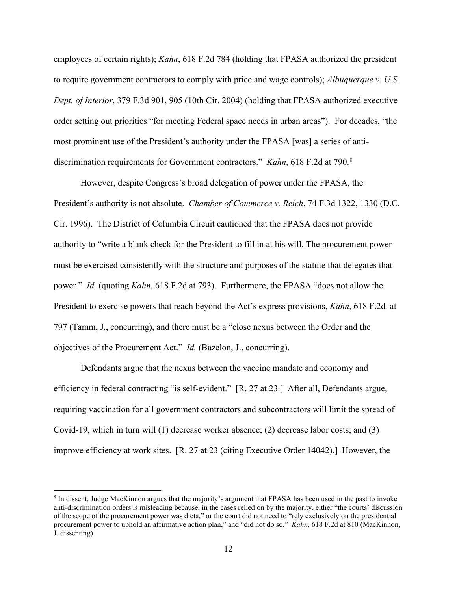employees of certain rights); *Kahn*, 618 F.2d 784 (holding that FPASA authorized the president to require government contractors to comply with price and wage controls); *Albuquerque v. U.S. Dept. of Interior*, 379 F.3d 901, 905 (10th Cir. 2004) (holding that FPASA authorized executive order setting out priorities "for meeting Federal space needs in urban areas"). For decades, "the most prominent use of the President's authority under the FPASA [was] a series of antidiscrimination requirements for Government contractors." *Kahn*, 618 F.2d at 790.<sup>8</sup>

 However, despite Congress's broad delegation of power under the FPASA, the President's authority is not absolute. *Chamber of Commerce v. Reich*, 74 F.3d 1322, 1330 (D.C. Cir. 1996). The District of Columbia Circuit cautioned that the FPASA does not provide authority to "write a blank check for the President to fill in at his will. The procurement power must be exercised consistently with the structure and purposes of the statute that delegates that power." *Id.* (quoting *Kahn*, 618 F.2d at 793). Furthermore, the FPASA "does not allow the President to exercise powers that reach beyond the Act's express provisions, *Kahn*, 618 F.2d*.* at 797 (Tamm, J., concurring), and there must be a "close nexus between the Order and the objectives of the Procurement Act." *Id.* (Bazelon, J., concurring).

 Defendants argue that the nexus between the vaccine mandate and economy and efficiency in federal contracting "is self-evident." [R. 27 at 23.] After all, Defendants argue, requiring vaccination for all government contractors and subcontractors will limit the spread of Covid-19, which in turn will (1) decrease worker absence; (2) decrease labor costs; and (3) improve efficiency at work sites. [R. 27 at 23 (citing Executive Order 14042).] However, the

<sup>8</sup> In dissent, Judge MacKinnon argues that the majority's argument that FPASA has been used in the past to invoke anti-discrimination orders is misleading because, in the cases relied on by the majority, either "the courts' discussion of the scope of the procurement power was dicta," or the court did not need to "rely exclusively on the presidential procurement power to uphold an affirmative action plan," and "did not do so." *Kahn*, 618 F.2d at 810 (MacKinnon, J. dissenting).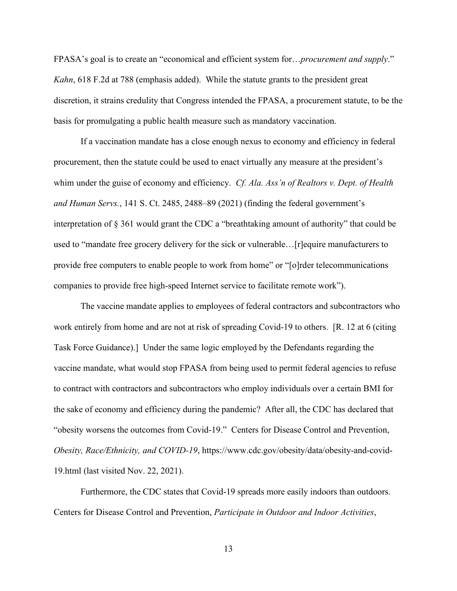FPASA's goal is to create an "economical and efficient system for…*procurement and supply*." *Kahn*, 618 F.2d at 788 (emphasis added). While the statute grants to the president great discretion, it strains credulity that Congress intended the FPASA, a procurement statute, to be the basis for promulgating a public health measure such as mandatory vaccination.

If a vaccination mandate has a close enough nexus to economy and efficiency in federal procurement, then the statute could be used to enact virtually any measure at the president's whim under the guise of economy and efficiency. *Cf. Ala. Ass'n of Realtors v. Dept. of Health and Human Servs.*, 141 S. Ct. 2485, 2488–89 (2021) (finding the federal government's interpretation of § 361 would grant the CDC a "breathtaking amount of authority" that could be used to "mandate free grocery delivery for the sick or vulnerable…[r]equire manufacturers to provide free computers to enable people to work from home" or "[o]rder telecommunications companies to provide free high-speed Internet service to facilitate remote work").

The vaccine mandate applies to employees of federal contractors and subcontractors who work entirely from home and are not at risk of spreading Covid-19 to others. [R. 12 at 6 (citing Task Force Guidance).] Under the same logic employed by the Defendants regarding the vaccine mandate, what would stop FPASA from being used to permit federal agencies to refuse to contract with contractors and subcontractors who employ individuals over a certain BMI for the sake of economy and efficiency during the pandemic? After all, the CDC has declared that "obesity worsens the outcomes from Covid-19." Centers for Disease Control and Prevention, *Obesity, Race/Ethnicity, and COVID-19*, https://www.cdc.gov/obesity/data/obesity-and-covid-19.html (last visited Nov. 22, 2021).

Furthermore, the CDC states that Covid-19 spreads more easily indoors than outdoors. Centers for Disease Control and Prevention, *Participate in Outdoor and Indoor Activities*,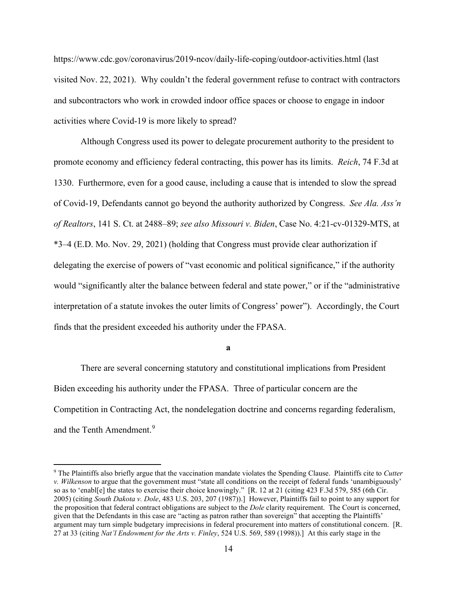https://www.cdc.gov/coronavirus/2019-ncov/daily-life-coping/outdoor-activities.html (last visited Nov. 22, 2021). Why couldn't the federal government refuse to contract with contractors and subcontractors who work in crowded indoor office spaces or choose to engage in indoor activities where Covid-19 is more likely to spread?

Although Congress used its power to delegate procurement authority to the president to promote economy and efficiency federal contracting, this power has its limits. *Reich*, 74 F.3d at 1330. Furthermore, even for a good cause, including a cause that is intended to slow the spread of Covid-19, Defendants cannot go beyond the authority authorized by Congress. *See Ala. Ass'n of Realtors*, 141 S. Ct. at 2488–89; *see also Missouri v. Biden*, Case No. 4:21-cv-01329-MTS, at \*3–4 (E.D. Mo. Nov. 29, 2021) (holding that Congress must provide clear authorization if delegating the exercise of powers of "vast economic and political significance," if the authority would "significantly alter the balance between federal and state power," or if the "administrative interpretation of a statute invokes the outer limits of Congress' power"). Accordingly, the Court finds that the president exceeded his authority under the FPASA.

**a** 

There are several concerning statutory and constitutional implications from President Biden exceeding his authority under the FPASA. Three of particular concern are the Competition in Contracting Act, the nondelegation doctrine and concerns regarding federalism, and the Tenth Amendment.<sup>9</sup>

<sup>9</sup> The Plaintiffs also briefly argue that the vaccination mandate violates the Spending Clause. Plaintiffs cite to *Cutter v. Wilkenson* to argue that the government must "state all conditions on the receipt of federal funds 'unambiguously' so as to 'enabl[e] the states to exercise their choice knowingly." [R. 12 at 21 (citing 423 F.3d 579, 585 (6th Cir. 2005) (citing *South Dakota v. Dole*, 483 U.S. 203, 207 (1987)).] However, Plaintiffs fail to point to any support for the proposition that federal contract obligations are subject to the *Dole* clarity requirement. The Court is concerned, given that the Defendants in this case are "acting as patron rather than sovereign" that accepting the Plaintiffs' argument may turn simple budgetary imprecisions in federal procurement into matters of constitutional concern. [R. 27 at 33 (citing *Nat'l Endowment for the Arts v. Finley*, 524 U.S. 569, 589 (1998)).] At this early stage in the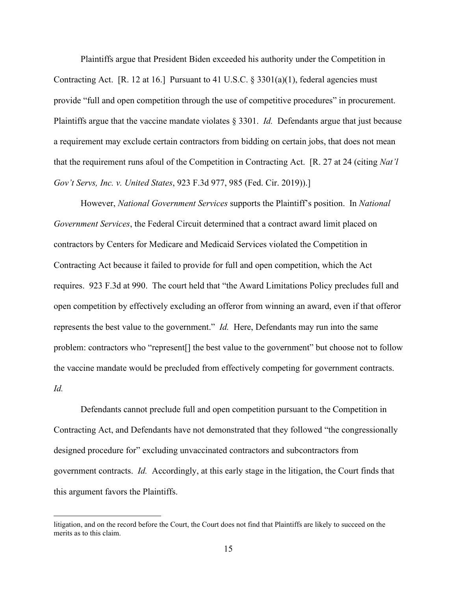Plaintiffs argue that President Biden exceeded his authority under the Competition in Contracting Act. [R. 12 at 16.] Pursuant to 41 U.S.C.  $\S 3301(a)(1)$ , federal agencies must provide "full and open competition through the use of competitive procedures" in procurement. Plaintiffs argue that the vaccine mandate violates § 3301. *Id.* Defendants argue that just because a requirement may exclude certain contractors from bidding on certain jobs, that does not mean that the requirement runs afoul of the Competition in Contracting Act. [R. 27 at 24 (citing *Nat'l Gov't Servs, Inc. v. United States*, 923 F.3d 977, 985 (Fed. Cir. 2019)).]

However, *National Government Services* supports the Plaintiff's position. In *National Government Services*, the Federal Circuit determined that a contract award limit placed on contractors by Centers for Medicare and Medicaid Services violated the Competition in Contracting Act because it failed to provide for full and open competition, which the Act requires. 923 F.3d at 990. The court held that "the Award Limitations Policy precludes full and open competition by effectively excluding an offeror from winning an award, even if that offeror represents the best value to the government." *Id.* Here, Defendants may run into the same problem: contractors who "represent[] the best value to the government" but choose not to follow the vaccine mandate would be precluded from effectively competing for government contracts. *Id.* 

Defendants cannot preclude full and open competition pursuant to the Competition in Contracting Act, and Defendants have not demonstrated that they followed "the congressionally designed procedure for" excluding unvaccinated contractors and subcontractors from government contracts. *Id.* Accordingly, at this early stage in the litigation, the Court finds that this argument favors the Plaintiffs.

litigation, and on the record before the Court, the Court does not find that Plaintiffs are likely to succeed on the merits as to this claim.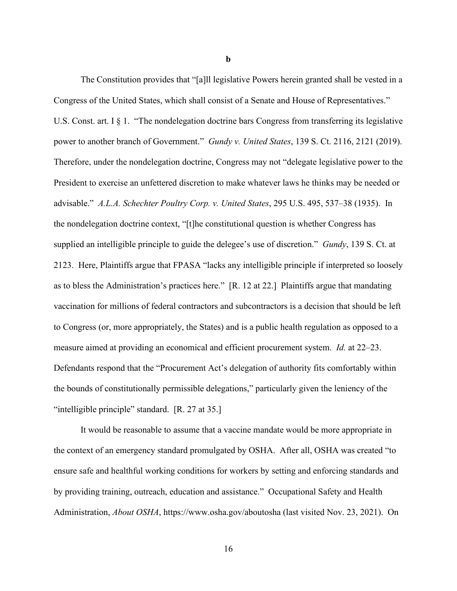The Constitution provides that "[a]ll legislative Powers herein granted shall be vested in a Congress of the United States, which shall consist of a Senate and House of Representatives." U.S. Const. art. I § 1. "The nondelegation doctrine bars Congress from transferring its legislative power to another branch of Government." *Gundy v. United States*, 139 S. Ct. 2116, 2121 (2019). Therefore, under the nondelegation doctrine, Congress may not "delegate legislative power to the President to exercise an unfettered discretion to make whatever laws he thinks may be needed or advisable." *A.L.A. Schechter Poultry Corp. v. United States*, 295 U.S. 495, 537–38 (1935). In the nondelegation doctrine context, "[t]he constitutional question is whether Congress has supplied an intelligible principle to guide the delegee's use of discretion." *Gundy*, 139 S. Ct. at 2123. Here, Plaintiffs argue that FPASA "lacks any intelligible principle if interpreted so loosely as to bless the Administration's practices here." [R. 12 at 22.] Plaintiffs argue that mandating vaccination for millions of federal contractors and subcontractors is a decision that should be left to Congress (or, more appropriately, the States) and is a public health regulation as opposed to a measure aimed at providing an economical and efficient procurement system. *Id.* at 22–23. Defendants respond that the "Procurement Act's delegation of authority fits comfortably within the bounds of constitutionally permissible delegations," particularly given the leniency of the "intelligible principle" standard. [R. 27 at 35.]

It would be reasonable to assume that a vaccine mandate would be more appropriate in the context of an emergency standard promulgated by OSHA. After all, OSHA was created "to ensure safe and healthful working conditions for workers by setting and enforcing standards and by providing training, outreach, education and assistance." Occupational Safety and Health Administration, *About OSHA*, https://www.osha.gov/aboutosha (last visited Nov. 23, 2021). On

**b**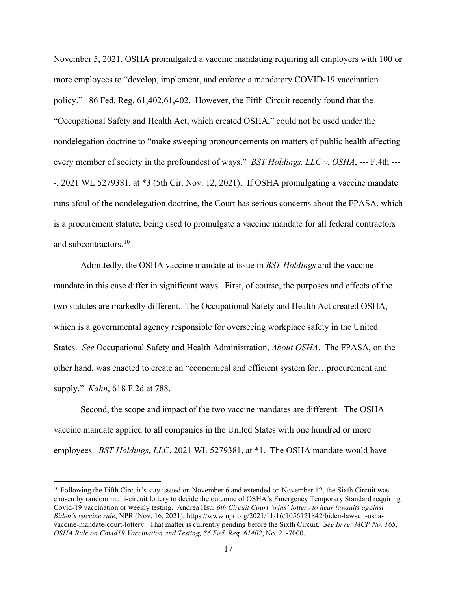November 5, 2021, OSHA promulgated a vaccine mandating requiring all employers with 100 or more employees to "develop, implement, and enforce a mandatory COVID-19 vaccination policy." 86 Fed. Reg. 61,402,61,402. However, the Fifth Circuit recently found that the "Occupational Safety and Health Act, which created OSHA," could not be used under the nondelegation doctrine to "make sweeping pronouncements on matters of public health affecting every member of society in the profoundest of ways." *BST Holdings, LLC v. OSHA*, --- F.4th ----, 2021 WL 5279381, at \*3 (5th Cir. Nov. 12, 2021). If OSHA promulgating a vaccine mandate runs afoul of the nondelegation doctrine, the Court has serious concerns about the FPASA, which is a procurement statute, being used to promulgate a vaccine mandate for all federal contractors and subcontractors.10

Admittedly, the OSHA vaccine mandate at issue in *BST Holdings* and the vaccine mandate in this case differ in significant ways. First, of course, the purposes and effects of the two statutes are markedly different. The Occupational Safety and Health Act created OSHA, which is a governmental agency responsible for overseeing workplace safety in the United States. *See* Occupational Safety and Health Administration, *About OSHA*. The FPASA, on the other hand, was enacted to create an "economical and efficient system for…procurement and supply." *Kahn*, 618 F.2d at 788.

Second, the scope and impact of the two vaccine mandates are different. The OSHA vaccine mandate applied to all companies in the United States with one hundred or more employees. *BST Holdings, LLC*, 2021 WL 5279381, at \*1. The OSHA mandate would have

<sup>10</sup> Following the Fifth Circuit's stay issued on November 6 and extended on November 12, the Sixth Circuit was chosen by random multi-circuit lottery to decide the outcome of OSHA's Emergency Temporary Standard requiring Covid-19 vaccination or weekly testing. Andrea Hsu, *6th Circuit Court 'wins' lottery to hear lawsuits against Biden's vaccine rule*, NPR (Nov. 16, 2021), https://www npr.org/2021/11/16/1056121842/biden-lawsuit-oshavaccine-mandate-court-lottery. That matter is currently pending before the Sixth Circuit. *See In re: MCP No. 165; OSHA Rule on Covid19 Vaccination and Testing, 86 Fed. Reg. 61402*, No. 21-7000.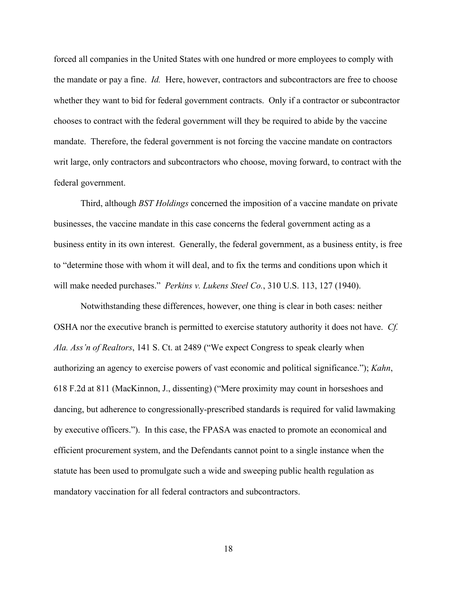forced all companies in the United States with one hundred or more employees to comply with the mandate or pay a fine. *Id.* Here, however, contractors and subcontractors are free to choose whether they want to bid for federal government contracts. Only if a contractor or subcontractor chooses to contract with the federal government will they be required to abide by the vaccine mandate. Therefore, the federal government is not forcing the vaccine mandate on contractors writ large, only contractors and subcontractors who choose, moving forward, to contract with the federal government.

Third, although *BST Holdings* concerned the imposition of a vaccine mandate on private businesses, the vaccine mandate in this case concerns the federal government acting as a business entity in its own interest. Generally, the federal government, as a business entity, is free to "determine those with whom it will deal, and to fix the terms and conditions upon which it will make needed purchases." *Perkins v. Lukens Steel Co.*, 310 U.S. 113, 127 (1940).

Notwithstanding these differences, however, one thing is clear in both cases: neither OSHA nor the executive branch is permitted to exercise statutory authority it does not have. *Cf. Ala. Ass'n of Realtors*, 141 S. Ct. at 2489 ("We expect Congress to speak clearly when authorizing an agency to exercise powers of vast economic and political significance."); *Kahn*, 618 F.2d at 811 (MacKinnon, J., dissenting) ("Mere proximity may count in horseshoes and dancing, but adherence to congressionally-prescribed standards is required for valid lawmaking by executive officers."). In this case, the FPASA was enacted to promote an economical and efficient procurement system, and the Defendants cannot point to a single instance when the statute has been used to promulgate such a wide and sweeping public health regulation as mandatory vaccination for all federal contractors and subcontractors.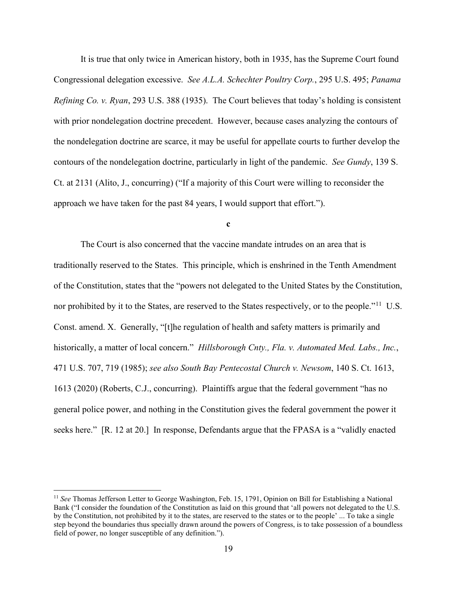It is true that only twice in American history, both in 1935, has the Supreme Court found Congressional delegation excessive. *See A.L.A. Schechter Poultry Corp.*, 295 U.S. 495; *Panama Refining Co. v. Ryan*, 293 U.S. 388 (1935). The Court believes that today's holding is consistent with prior nondelegation doctrine precedent. However, because cases analyzing the contours of the nondelegation doctrine are scarce, it may be useful for appellate courts to further develop the contours of the nondelegation doctrine, particularly in light of the pandemic. *See Gundy*, 139 S. Ct. at 2131 (Alito, J., concurring) ("If a majority of this Court were willing to reconsider the approach we have taken for the past 84 years, I would support that effort.").

**c** 

The Court is also concerned that the vaccine mandate intrudes on an area that is traditionally reserved to the States. This principle, which is enshrined in the Tenth Amendment of the Constitution, states that the "powers not delegated to the United States by the Constitution, nor prohibited by it to the States, are reserved to the States respectively, or to the people."<sup>11</sup> U.S. Const. amend. X. Generally, "[t]he regulation of health and safety matters is primarily and historically, a matter of local concern." *Hillsborough Cnty., Fla. v. Automated Med. Labs., Inc.*, 471 U.S. 707, 719 (1985); *see also South Bay Pentecostal Church v. Newsom*, 140 S. Ct. 1613, 1613 (2020) (Roberts, C.J., concurring). Plaintiffs argue that the federal government "has no general police power, and nothing in the Constitution gives the federal government the power it seeks here." [R. 12 at 20.] In response, Defendants argue that the FPASA is a "validly enacted

<sup>11</sup> *See* Thomas Jefferson Letter to George Washington, Feb. 15, 1791, Opinion on Bill for Establishing a National Bank ("I consider the foundation of the Constitution as laid on this ground that 'all powers not delegated to the U.S. by the Constitution, not prohibited by it to the states, are reserved to the states or to the people' ... To take a single step beyond the boundaries thus specially drawn around the powers of Congress, is to take possession of a boundless field of power, no longer susceptible of any definition.").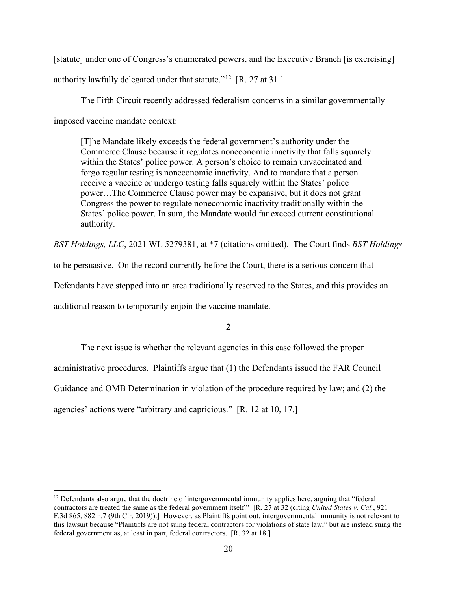[statute] under one of Congress's enumerated powers, and the Executive Branch [is exercising] authority lawfully delegated under that statute."<sup>12</sup> [R. 27 at 31.]

 The Fifth Circuit recently addressed federalism concerns in a similar governmentally imposed vaccine mandate context:

[T]he Mandate likely exceeds the federal government's authority under the Commerce Clause because it regulates noneconomic inactivity that falls squarely within the States' police power. A person's choice to remain unvaccinated and forgo regular testing is noneconomic inactivity. And to mandate that a person receive a vaccine or undergo testing falls squarely within the States' police power…The Commerce Clause power may be expansive, but it does not grant Congress the power to regulate noneconomic inactivity traditionally within the States' police power. In sum, the Mandate would far exceed current constitutional authority.

*BST Holdings, LLC*, 2021 WL 5279381, at \*7 (citations omitted). The Court finds *BST Holdings* 

to be persuasive. On the record currently before the Court, there is a serious concern that

Defendants have stepped into an area traditionally reserved to the States, and this provides an

additional reason to temporarily enjoin the vaccine mandate.

### **2**

The next issue is whether the relevant agencies in this case followed the proper administrative procedures. Plaintiffs argue that (1) the Defendants issued the FAR Council Guidance and OMB Determination in violation of the procedure required by law; and (2) the agencies' actions were "arbitrary and capricious." [R. 12 at 10, 17.]

 $12$  Defendants also argue that the doctrine of intergovernmental immunity applies here, arguing that "federal" contractors are treated the same as the federal government itself." [R. 27 at 32 (citing *United States v. Cal.*, 921 F.3d 865, 882 n.7 (9th Cir. 2019)).] However, as Plaintiffs point out, intergovernmental immunity is not relevant to this lawsuit because "Plaintiffs are not suing federal contractors for violations of state law," but are instead suing the federal government as, at least in part, federal contractors. [R. 32 at 18.]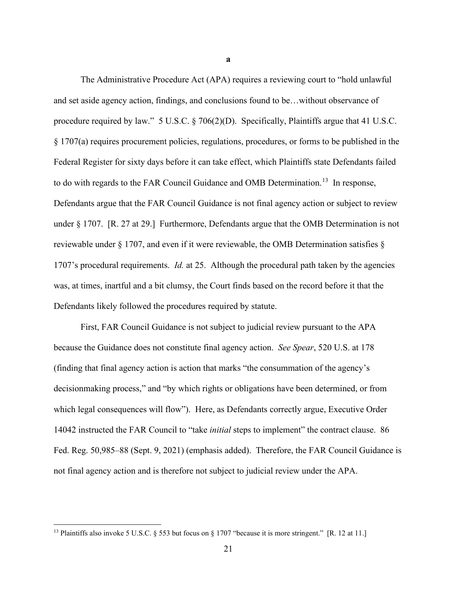The Administrative Procedure Act (APA) requires a reviewing court to "hold unlawful and set aside agency action, findings, and conclusions found to be…without observance of procedure required by law." 5 U.S.C. § 706(2)(D). Specifically, Plaintiffs argue that 41 U.S.C. § 1707(a) requires procurement policies, regulations, procedures, or forms to be published in the Federal Register for sixty days before it can take effect, which Plaintiffs state Defendants failed to do with regards to the FAR Council Guidance and OMB Determination.<sup>13</sup> In response, Defendants argue that the FAR Council Guidance is not final agency action or subject to review under § 1707. [R. 27 at 29.] Furthermore, Defendants argue that the OMB Determination is not reviewable under § 1707, and even if it were reviewable, the OMB Determination satisfies § 1707's procedural requirements. *Id.* at 25. Although the procedural path taken by the agencies was, at times, inartful and a bit clumsy, the Court finds based on the record before it that the Defendants likely followed the procedures required by statute.

First, FAR Council Guidance is not subject to judicial review pursuant to the APA because the Guidance does not constitute final agency action. *See Spear*, 520 U.S. at 178 (finding that final agency action is action that marks "the consummation of the agency's decisionmaking process," and "by which rights or obligations have been determined, or from which legal consequences will flow"). Here, as Defendants correctly argue, Executive Order 14042 instructed the FAR Council to "take *initial* steps to implement" the contract clause. 86 Fed. Reg. 50,985–88 (Sept. 9, 2021) (emphasis added). Therefore, the FAR Council Guidance is not final agency action and is therefore not subject to judicial review under the APA.

<sup>&</sup>lt;sup>13</sup> Plaintiffs also invoke 5 U.S.C. § 553 but focus on § 1707 "because it is more stringent." [R. 12 at 11.]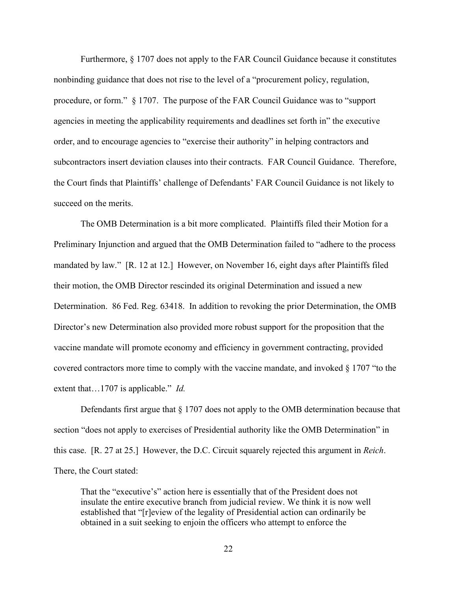Furthermore, § 1707 does not apply to the FAR Council Guidance because it constitutes nonbinding guidance that does not rise to the level of a "procurement policy, regulation, procedure, or form." § 1707. The purpose of the FAR Council Guidance was to "support agencies in meeting the applicability requirements and deadlines set forth in" the executive order, and to encourage agencies to "exercise their authority" in helping contractors and subcontractors insert deviation clauses into their contracts. FAR Council Guidance. Therefore, the Court finds that Plaintiffs' challenge of Defendants' FAR Council Guidance is not likely to succeed on the merits.

The OMB Determination is a bit more complicated. Plaintiffs filed their Motion for a Preliminary Injunction and argued that the OMB Determination failed to "adhere to the process mandated by law." [R. 12 at 12.] However, on November 16, eight days after Plaintiffs filed their motion, the OMB Director rescinded its original Determination and issued a new Determination. 86 Fed. Reg. 63418. In addition to revoking the prior Determination, the OMB Director's new Determination also provided more robust support for the proposition that the vaccine mandate will promote economy and efficiency in government contracting, provided covered contractors more time to comply with the vaccine mandate, and invoked  $\S 1707$  "to the extent that…1707 is applicable." *Id.* 

Defendants first argue that § 1707 does not apply to the OMB determination because that section "does not apply to exercises of Presidential authority like the OMB Determination" in this case. [R. 27 at 25.] However, the D.C. Circuit squarely rejected this argument in *Reich*. There, the Court stated:

That the "executive's" action here is essentially that of the President does not insulate the entire executive branch from judicial review. We think it is now well established that "[r]eview of the legality of Presidential action can ordinarily be obtained in a suit seeking to enjoin the officers who attempt to enforce the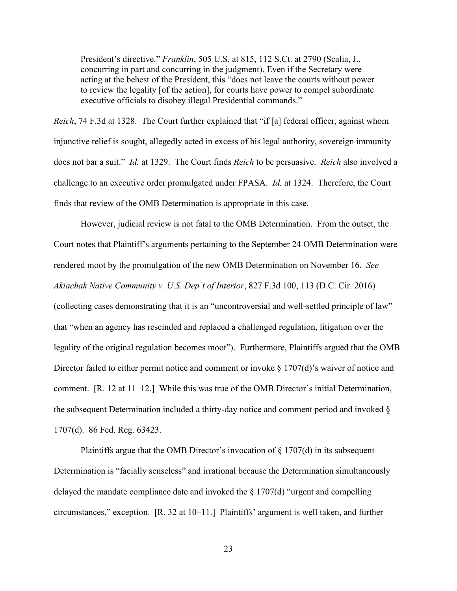President's directive." *Franklin*, 505 U.S. at 815, 112 S.Ct. at 2790 (Scalia, J., concurring in part and concurring in the judgment). Even if the Secretary were acting at the behest of the President, this "does not leave the courts without power to review the legality [of the action], for courts have power to compel subordinate executive officials to disobey illegal Presidential commands."

*Reich*, 74 F.3d at 1328. The Court further explained that "if [a] federal officer, against whom injunctive relief is sought, allegedly acted in excess of his legal authority, sovereign immunity does not bar a suit." *Id.* at 1329. The Court finds *Reich* to be persuasive. *Reich* also involved a challenge to an executive order promulgated under FPASA. *Id.* at 1324. Therefore, the Court finds that review of the OMB Determination is appropriate in this case.

However, judicial review is not fatal to the OMB Determination. From the outset, the Court notes that Plaintiff's arguments pertaining to the September 24 OMB Determination were rendered moot by the promulgation of the new OMB Determination on November 16. *See Akiachak Native Community v. U.S. Dep't of Interior*, 827 F.3d 100, 113 (D.C. Cir. 2016) (collecting cases demonstrating that it is an "uncontroversial and well-settled principle of law" that "when an agency has rescinded and replaced a challenged regulation, litigation over the legality of the original regulation becomes moot"). Furthermore, Plaintiffs argued that the OMB Director failed to either permit notice and comment or invoke § 1707(d)'s waiver of notice and comment. [R. 12 at 11–12.] While this was true of the OMB Director's initial Determination, the subsequent Determination included a thirty-day notice and comment period and invoked § 1707(d). 86 Fed. Reg. 63423.

Plaintiffs argue that the OMB Director's invocation of  $\S 1707(d)$  in its subsequent Determination is "facially senseless" and irrational because the Determination simultaneously delayed the mandate compliance date and invoked the  $\S 1707(d)$  "urgent and compelling circumstances," exception. [R. 32 at 10–11.] Plaintiffs' argument is well taken, and further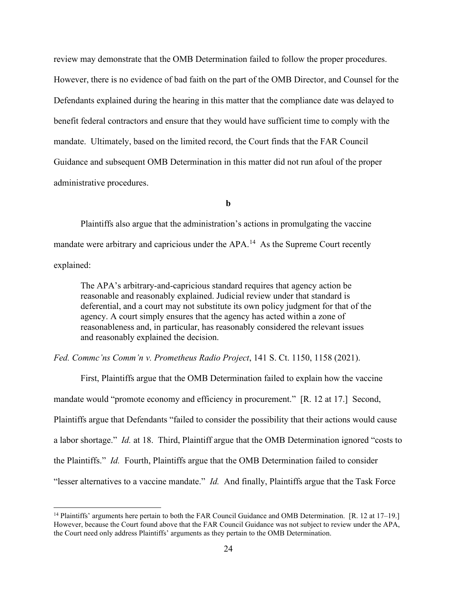review may demonstrate that the OMB Determination failed to follow the proper procedures. However, there is no evidence of bad faith on the part of the OMB Director, and Counsel for the Defendants explained during the hearing in this matter that the compliance date was delayed to benefit federal contractors and ensure that they would have sufficient time to comply with the mandate. Ultimately, based on the limited record, the Court finds that the FAR Council Guidance and subsequent OMB Determination in this matter did not run afoul of the proper administrative procedures.

**b** 

Plaintiffs also argue that the administration's actions in promulgating the vaccine mandate were arbitrary and capricious under the APA.<sup>14</sup> As the Supreme Court recently explained:

The APA's arbitrary-and-capricious standard requires that agency action be reasonable and reasonably explained. Judicial review under that standard is deferential, and a court may not substitute its own policy judgment for that of the agency. A court simply ensures that the agency has acted within a zone of reasonableness and, in particular, has reasonably considered the relevant issues and reasonably explained the decision.

*Fed. Commc'ns Comm'n v. Prometheus Radio Project*, 141 S. Ct. 1150, 1158 (2021).

First, Plaintiffs argue that the OMB Determination failed to explain how the vaccine mandate would "promote economy and efficiency in procurement." [R. 12 at 17.] Second, Plaintiffs argue that Defendants "failed to consider the possibility that their actions would cause a labor shortage." *Id.* at 18. Third, Plaintiff argue that the OMB Determination ignored "costs to the Plaintiffs." *Id.* Fourth, Plaintiffs argue that the OMB Determination failed to consider "lesser alternatives to a vaccine mandate." *Id.* And finally, Plaintiffs argue that the Task Force

<sup>&</sup>lt;sup>14</sup> Plaintiffs' arguments here pertain to both the FAR Council Guidance and OMB Determination. [R. 12 at 17–19.] However, because the Court found above that the FAR Council Guidance was not subject to review under the APA, the Court need only address Plaintiffs' arguments as they pertain to the OMB Determination.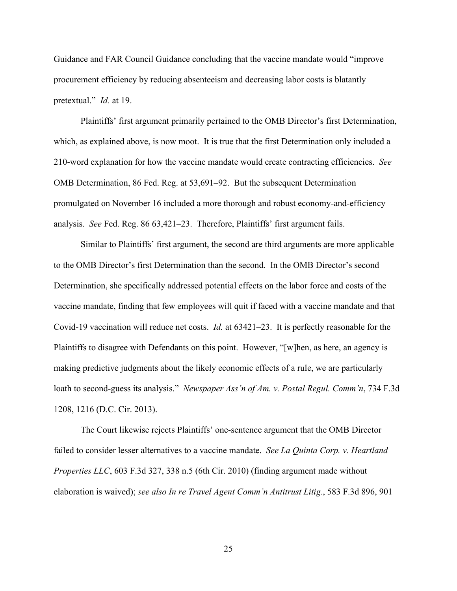Guidance and FAR Council Guidance concluding that the vaccine mandate would "improve procurement efficiency by reducing absenteeism and decreasing labor costs is blatantly pretextual." *Id.* at 19.

Plaintiffs' first argument primarily pertained to the OMB Director's first Determination, which, as explained above, is now moot. It is true that the first Determination only included a 210-word explanation for how the vaccine mandate would create contracting efficiencies. *See* OMB Determination, 86 Fed. Reg. at 53,691–92. But the subsequent Determination promulgated on November 16 included a more thorough and robust economy-and-efficiency analysis. *See* Fed. Reg. 86 63,421–23. Therefore, Plaintiffs' first argument fails.

Similar to Plaintiffs' first argument, the second are third arguments are more applicable to the OMB Director's first Determination than the second. In the OMB Director's second Determination, she specifically addressed potential effects on the labor force and costs of the vaccine mandate, finding that few employees will quit if faced with a vaccine mandate and that Covid-19 vaccination will reduce net costs. *Id.* at 63421–23. It is perfectly reasonable for the Plaintiffs to disagree with Defendants on this point. However, "[w]hen, as here, an agency is making predictive judgments about the likely economic effects of a rule, we are particularly loath to second-guess its analysis." *Newspaper Ass'n of Am. v. Postal Regul. Comm'n*, 734 F.3d 1208, 1216 (D.C. Cir. 2013).

The Court likewise rejects Plaintiffs' one-sentence argument that the OMB Director failed to consider lesser alternatives to a vaccine mandate. *See La Quinta Corp. v. Heartland Properties LLC*, 603 F.3d 327, 338 n.5 (6th Cir. 2010) (finding argument made without elaboration is waived); *see also In re Travel Agent Comm'n Antitrust Litig.*, 583 F.3d 896, 901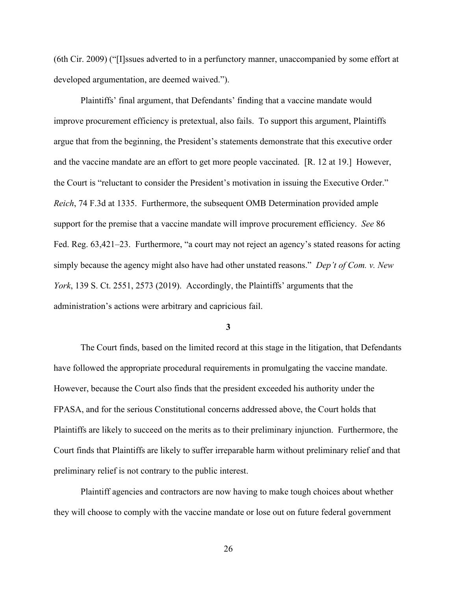(6th Cir. 2009) ("[I]ssues adverted to in a perfunctory manner, unaccompanied by some effort at developed argumentation, are deemed waived.").

Plaintiffs' final argument, that Defendants' finding that a vaccine mandate would improve procurement efficiency is pretextual, also fails. To support this argument, Plaintiffs argue that from the beginning, the President's statements demonstrate that this executive order and the vaccine mandate are an effort to get more people vaccinated. [R. 12 at 19.] However, the Court is "reluctant to consider the President's motivation in issuing the Executive Order." *Reich*, 74 F.3d at 1335. Furthermore, the subsequent OMB Determination provided ample support for the premise that a vaccine mandate will improve procurement efficiency. *See* 86 Fed. Reg. 63,421–23. Furthermore, "a court may not reject an agency's stated reasons for acting simply because the agency might also have had other unstated reasons." *Dep't of Com. v. New York*, 139 S. Ct. 2551, 2573 (2019). Accordingly, the Plaintiffs' arguments that the administration's actions were arbitrary and capricious fail.

### **3**

The Court finds, based on the limited record at this stage in the litigation, that Defendants have followed the appropriate procedural requirements in promulgating the vaccine mandate. However, because the Court also finds that the president exceeded his authority under the FPASA, and for the serious Constitutional concerns addressed above, the Court holds that Plaintiffs are likely to succeed on the merits as to their preliminary injunction. Furthermore, the Court finds that Plaintiffs are likely to suffer irreparable harm without preliminary relief and that preliminary relief is not contrary to the public interest.

Plaintiff agencies and contractors are now having to make tough choices about whether they will choose to comply with the vaccine mandate or lose out on future federal government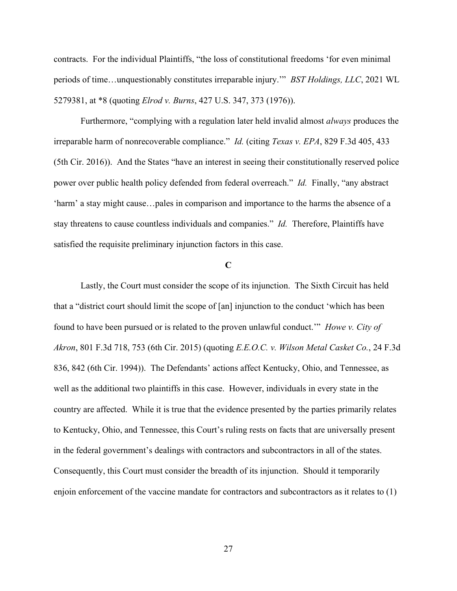contracts. For the individual Plaintiffs, "the loss of constitutional freedoms 'for even minimal periods of time…unquestionably constitutes irreparable injury.'" *BST Holdings, LLC*, 2021 WL 5279381, at \*8 (quoting *Elrod v. Burns*, 427 U.S. 347, 373 (1976)).

Furthermore, "complying with a regulation later held invalid almost *always* produces the irreparable harm of nonrecoverable compliance." *Id.* (citing *Texas v. EPA*, 829 F.3d 405, 433 (5th Cir. 2016)). And the States "have an interest in seeing their constitutionally reserved police power over public health policy defended from federal overreach." *Id.* Finally, "any abstract 'harm' a stay might cause…pales in comparison and importance to the harms the absence of a stay threatens to cause countless individuals and companies." *Id.* Therefore, Plaintiffs have satisfied the requisite preliminary injunction factors in this case.

## **C**

Lastly, the Court must consider the scope of its injunction. The Sixth Circuit has held that a "district court should limit the scope of [an] injunction to the conduct 'which has been found to have been pursued or is related to the proven unlawful conduct.'" *Howe v. City of Akron*, 801 F.3d 718, 753 (6th Cir. 2015) (quoting *E.E.O.C. v. Wilson Metal Casket Co.*, 24 F.3d 836, 842 (6th Cir. 1994)). The Defendants' actions affect Kentucky, Ohio, and Tennessee, as well as the additional two plaintiffs in this case. However, individuals in every state in the country are affected. While it is true that the evidence presented by the parties primarily relates to Kentucky, Ohio, and Tennessee, this Court's ruling rests on facts that are universally present in the federal government's dealings with contractors and subcontractors in all of the states. Consequently, this Court must consider the breadth of its injunction. Should it temporarily enjoin enforcement of the vaccine mandate for contractors and subcontractors as it relates to (1)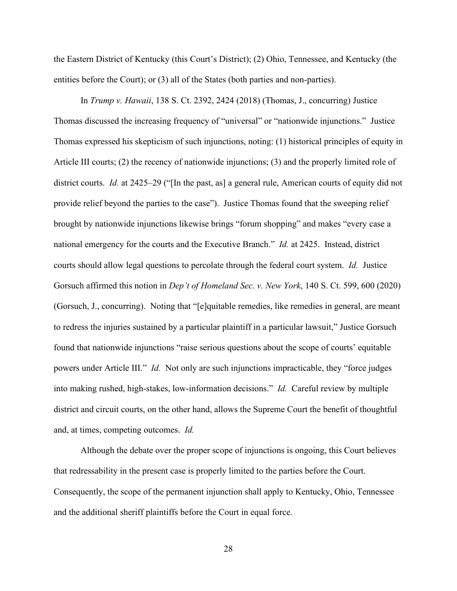the Eastern District of Kentucky (this Court's District); (2) Ohio, Tennessee, and Kentucky (the entities before the Court); or (3) all of the States (both parties and non-parties).

In *Trump v. Hawaii*, 138 S. Ct. 2392, 2424 (2018) (Thomas, J., concurring) Justice Thomas discussed the increasing frequency of "universal" or "nationwide injunctions." Justice Thomas expressed his skepticism of such injunctions, noting: (1) historical principles of equity in Article III courts; (2) the recency of nationwide injunctions; (3) and the properly limited role of district courts. *Id.* at 2425–29 ("[In the past, as] a general rule, American courts of equity did not provide relief beyond the parties to the case"). Justice Thomas found that the sweeping relief brought by nationwide injunctions likewise brings "forum shopping" and makes "every case a national emergency for the courts and the Executive Branch." *Id.* at 2425. Instead, district courts should allow legal questions to percolate through the federal court system. *Id.* Justice Gorsuch affirmed this notion in *Dep't of Homeland Sec. v. New York*, 140 S. Ct. 599, 600 (2020) (Gorsuch, J., concurring). Noting that "[e]quitable remedies, like remedies in general, are meant to redress the injuries sustained by a particular plaintiff in a particular lawsuit," Justice Gorsuch found that nationwide injunctions "raise serious questions about the scope of courts' equitable powers under Article III." *Id.* Not only are such injunctions impracticable, they "force judges into making rushed, high-stakes, low-information decisions." *Id.* Careful review by multiple district and circuit courts, on the other hand, allows the Supreme Court the benefit of thoughtful and, at times, competing outcomes. *Id.*

Although the debate over the proper scope of injunctions is ongoing, this Court believes that redressability in the present case is properly limited to the parties before the Court. Consequently, the scope of the permanent injunction shall apply to Kentucky, Ohio, Tennessee and the additional sheriff plaintiffs before the Court in equal force.